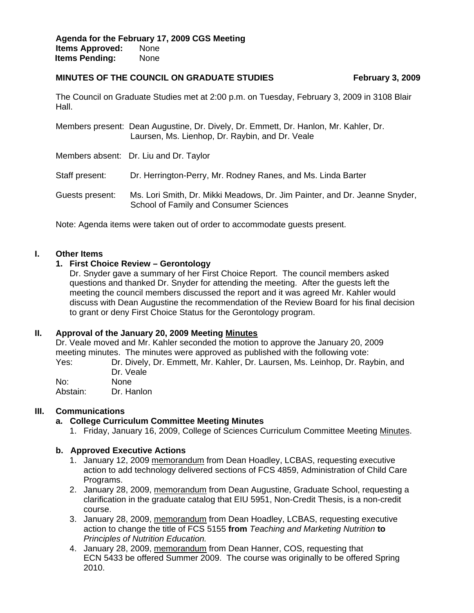#### **MINUTES OF THE COUNCIL ON GRADUATE STUDIES** February 3, 2009

The Council on Graduate Studies met at 2:00 p.m. on Tuesday, February 3, 2009 in 3108 Blair Hall.

Members present: Dean Augustine, Dr. Dively, Dr. Emmett, Dr. Hanlon, Mr. Kahler, Dr. Laursen, Ms. Lienhop, Dr. Raybin, and Dr. Veale

Members absent: Dr. Liu and Dr. Taylor

Staff present: Dr. Herrington-Perry, Mr. Rodney Ranes, and Ms. Linda Barter

Guests present: Ms. Lori Smith, Dr. Mikki Meadows, Dr. Jim Painter, and Dr. Jeanne Snyder, School of Family and Consumer Sciences

Note: Agenda items were taken out of order to accommodate guests present.

## **I. Other Items**

## **1. First Choice Review – Gerontology**

Dr. Snyder gave a summary of her First Choice Report. The council members asked questions and thanked Dr. Snyder for attending the meeting. After the guests left the meeting the council members discussed the report and it was agreed Mr. Kahler would discuss with Dean Augustine the recommendation of the Review Board for his final decision to grant or deny First Choice Status for the Gerontology program.

#### **II. Approval of the January 20, 2009 Me[eting Minutes](http://www.eiu.edu/~eiucgs/currentminutes/Minutes1-20-09.pdf)**

Dr. Veale moved and Mr. Kahler seconded the motion to approve the January 20, 2009 meeting minutes. The minutes were approved as published with the following vote:

Yes: Dr. Dively, Dr. Emmett, Mr. Kahler, Dr. Laursen, Ms. Leinhop, Dr. Raybin, and Dr. Veale

No: None Abstain: Dr. Hanlon

## **III. Communications**

#### **a. College Curriculum Committee Meeting Minutes**

1. Friday, January 16, 2009, College of Sciences Curriculum Committee Mee[ting Minutes.](http://www.eiu.edu/~eiucgs/currentagendaitems/COSMin1-16-09.pdf) 

#### **b. Approved Executive Actions**

- 1. January 12, 200[9 memorandum fro](http://www.eiu.edu/~eiucgs/currentagendaitems/ExecActionMemo1-12-09.pdf)m Dean Hoadley, LCBAS, requesting executive action to add technology delivered sections of FCS 4859, Administration of Child Care Programs.
- 2. January 28, 200[9, memorandum fr](http://www.eiu.edu/~eiucgs/currentagendaitems/ExecActionMemo1-28-09.pdf)om Dean Augustine, Graduate School, requesting a clarification in the graduate catalog that EIU 5951, Non-Credit Thesis, is a non-credit course.
- 3. January 28, 200[9, memorandum from](http://www.eiu.edu/~eiucgs/currentagendaitems/ExecActionMemo2-28-09.pdf) Dean Hoadley, LCBAS, requesting executive action to change the title of FCS 5155 **from** *Teaching and Marketing Nutrition* **to** *Principles of Nutrition Education.*
- 4. January 28, 2009, [memorandum fr](http://www.eiu.edu/~eiucgs/currentagendaitems/ExecActionMemo1-29-09.pdf)om Dean Hanner, COS, requesting that ECN 5433 be offered Summer 2009. The course was originally to be offered Spring 2010.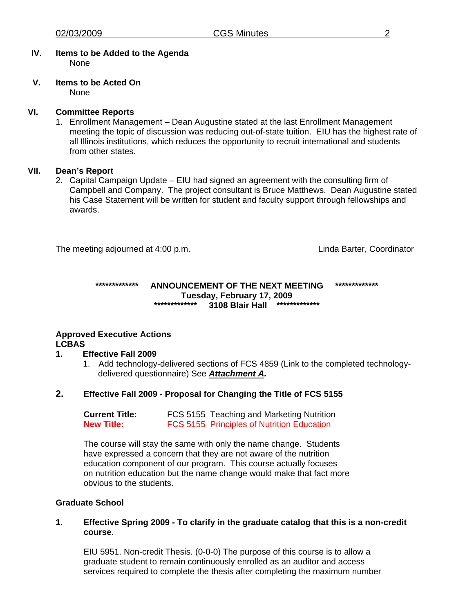#### **IV. Items to be Added to the Agenda**  None

#### **V. Items to be Acted On** None

**VI. Committee Reports** 

1. Enrollment Management – Dean Augustine stated at the last Enrollment Management meeting the topic of discussion was reducing out-of-state tuition. EIU has the highest rate of all Illinois institutions, which reduces the opportunity to recruit international and students from other states.

# **VII. Dean's Report**

2. Capital Campaign Update – EIU had signed an agreement with the consulting firm of Campbell and Company. The project consultant is Bruce Matthews. Dean Augustine stated his Case Statement will be written for student and faculty support through fellowships and awards.

The meeting adjourned at 4:00 p.m. Linda Barter, Coordinator

## **\*\*\*\*\*\*\*\*\*\*\*\*\* ANNOUNCEMENT OF THE NEXT MEETING \*\*\*\*\*\*\*\*\*\*\*\*\* Tuesday, February 17, 2009 \*\*\*\*\*\*\*\*\*\*\*\*\* 3108 Blair Hall \*\*\*\*\*\*\*\*\*\*\*\*\***

# **Approved Executive Actions LCBAS**

## **1. Effective Fall 2009**

1. Add technology-delivered sections of FCS 4859 (Link to the completed technologydelivered questionnaire) See *[Attachment A.](http://www.eiu.edu/~eiucgs/currentagendaitems/Att-A-1-12-09LCBAS.pdf)*

# **2. Effective Fall 2009 - Proposal for Changing the Title of FCS 5155**

| <b>Current Title:</b> | FCS 5155 Teaching and Marketing Nutrition         |
|-----------------------|---------------------------------------------------|
| <b>New Title:</b>     | <b>FCS 5155 Principles of Nutrition Education</b> |

The course will stay the same with only the name change. Students have expressed a concern that they are not aware of the nutrition education component of our program. This course actually focuses on nutrition education but the name change would make that fact more obvious to the students.

## **Graduate School**

## **1. Effective Spring 2009 - To clarify in the graduate catalog that this is a non-credit course**.

EIU 5951. Non-credit Thesis. (0-0-0) The purpose of this course is to allow a graduate student to remain continuously enrolled as an auditor and access services required to complete the thesis after completing the maximum number